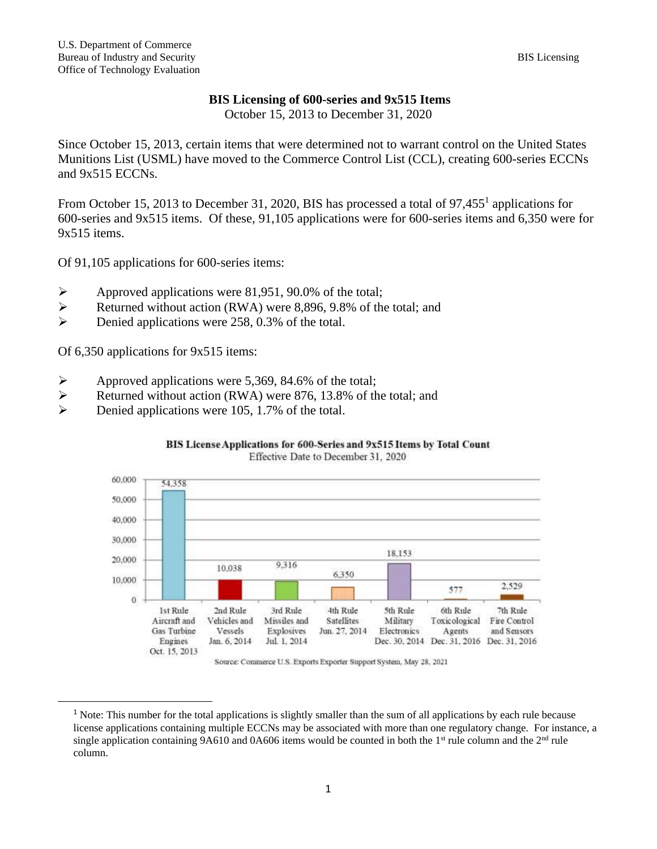# **BIS Licensing of 600-series and 9x515 Items**

October 15, 2013 to December 31, 2020

Since October 15, 2013, certain items that were determined not to warrant control on the United States Munitions List (USML) have moved to the Commerce Control List (CCL), creating 600-series ECCNs and 9x515 ECCNs.

From October 15, 2013 to December 31, 2020, BIS has processed a total of 97,455<sup>1</sup> applications for 600-series and 9x515 items. Of these, 91,105 applications were for 600-series items and 6,350 were for 9x515 items.

Of 91,105 applications for 600-series items:

- ➢ Approved applications were 81,951, 90.0% of the total;
- ➢ Returned without action (RWA) were 8,896, 9.8% of the total; and
- ➢ Denied applications were 258, 0.3% of the total.

Of 6,350 applications for 9x515 items:

- ➢ Approved applications were 5,369, 84.6% of the total;
- ➢ Returned without action (RWA) were 876, 13.8% of the total; and
- ➢ Denied applications were 105, 1.7% of the total.



### BIS License Applications for 600-Series and 9x515 Items by Total Count Effective Date to December 31, 2020

Source: Commerce U.S. Exports Exporter Support System, May 28, 2021

<sup>&</sup>lt;sup>1</sup> Note: This number for the total applications is slightly smaller than the sum of all applications by each rule because license applications containing multiple ECCNs may be associated with more than one regulatory change. For instance, a single application containing 9A610 and 0A606 items would be counted in both the  $1<sup>st</sup>$  rule column and the  $2<sup>nd</sup>$  rule column.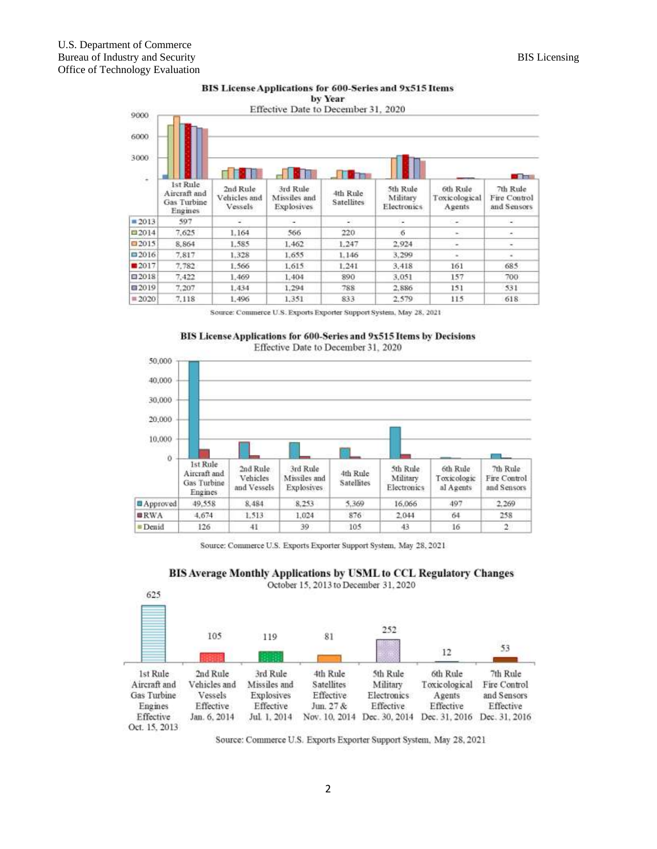

# BIS License Applications for 600-Series and 9x515 Items

Source: Commerce U.S. Exports Exporter Support System, May 28, 2021





Source: Commerce U.S. Exports Exporter Support System, May 28, 2021



| 625                         |                         |                            |                         |                         |                         |                             |
|-----------------------------|-------------------------|----------------------------|-------------------------|-------------------------|-------------------------|-----------------------------|
|                             | 105                     | 119                        | 81                      | 252                     | 12                      | 53                          |
| 1st Rule                    | 2nd Rule                | 3rd Rule                   | 4th Rule                | 5th Rule                | 6th Rule                | 7th Rule                    |
| Aircraft and<br>Gas Turbine | Vehicles and<br>Vessels | Missiles and<br>Explosives | Satellites<br>Effective | Military<br>Electronics | Toxicological<br>Agents | Fire Control<br>and Sensors |
| Engines                     | Effective               | Effective                  | Jun. 27 &               | Effective               | Effective               | Effective                   |
| Effective                   | Jan. 6, 2014            | Jul. 1, 2014               | Nov. 10, 2014           | Dec. 30, 2014           |                         | Dec. 31, 2016 Dec. 31, 2016 |
| Oct. 15, 2013               |                         |                            |                         |                         |                         |                             |

Source: Commerce U.S. Exports Exporter Support System, May 28, 2021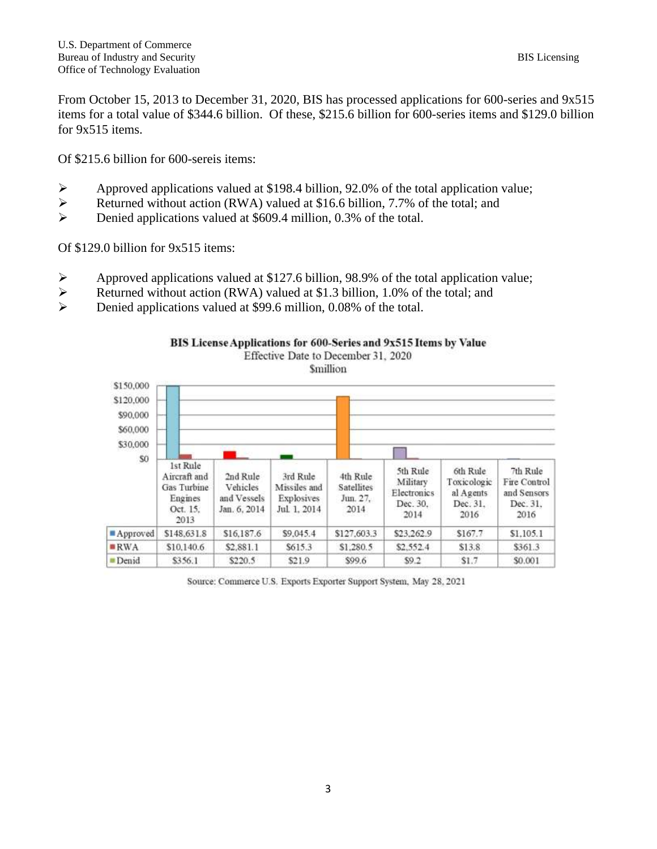From October 15, 2013 to December 31, 2020, BIS has processed applications for 600-series and 9x515 items for a total value of \$344.6 billion. Of these, \$215.6 billion for 600-series items and \$129.0 billion for 9x515 items.

Of \$215.6 billion for 600-sereis items:

- ➢ Approved applications valued at \$198.4 billion, 92.0% of the total application value;
- ➢ Returned without action (RWA) valued at \$16.6 billion, 7.7% of the total; and
- ➢ Denied applications valued at \$609.4 million, 0.3% of the total.

Of \$129.0 billion for 9x515 items:

- $\triangleright$  Approved applications valued at \$127.6 billion, 98.9% of the total application value;
- ➢ Returned without action (RWA) valued at \$1.3 billion, 1.0% of the total; and
- ➢ Denied applications valued at \$99.6 million, 0.08% of the total.





Source: Commerce U.S. Exports Exporter Support System, May 28, 2021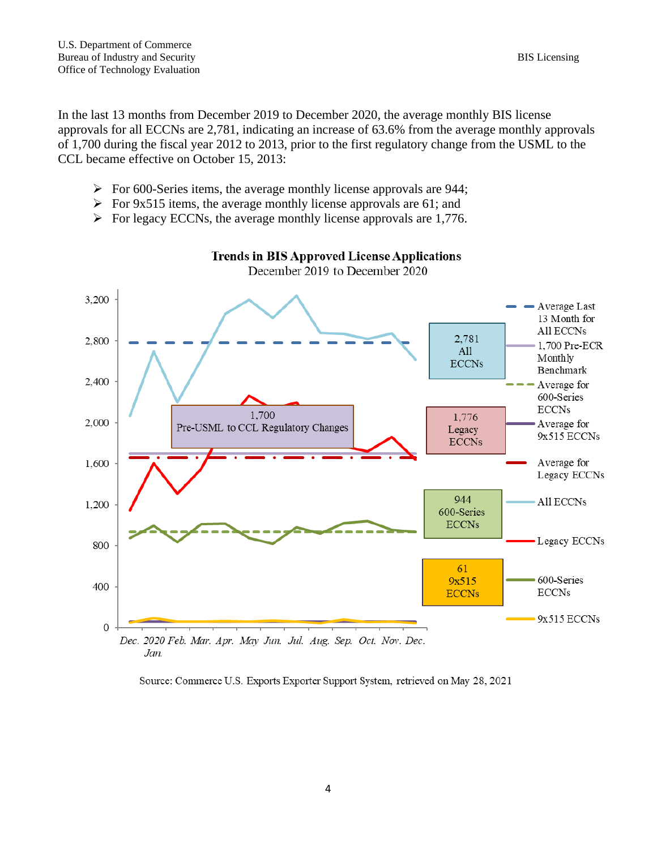Jan.

In the last 13 months from December 2019 to December 2020, the average monthly BIS license approvals for all ECCNs are 2,781, indicating an increase of 63.6% from the average monthly approvals of 1,700 during the fiscal year 2012 to 2013, prior to the first regulatory change from the USML to the CCL became effective on October 15, 2013:

- ➢ For 600-Series items, the average monthly license approvals are 944;
- $\triangleright$  For 9x515 items, the average monthly license approvals are 61; and
- $\triangleright$  For legacy ECCNs, the average monthly license approvals are 1,776.



# **Trends in BIS Approved License Applications**

December 2019 to December 2020

## Source: Commerce U.S. Exports Exporter Support System, retrieved on May 28, 2021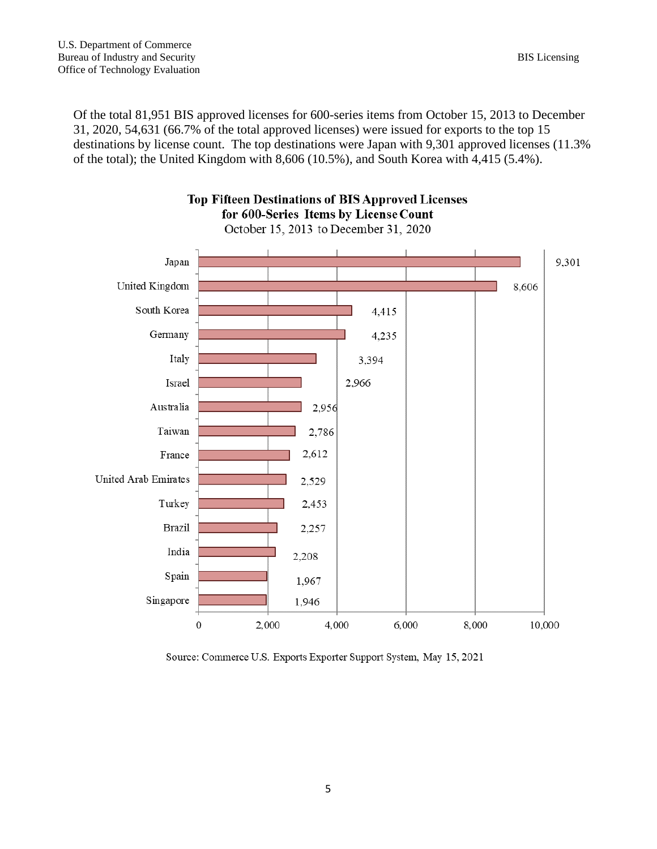Of the total 81,951 BIS approved licenses for 600-series items from October 15, 2013 to December 31, 2020, 54,631 (66.7% of the total approved licenses) were issued for exports to the top 15 destinations by license count. The top destinations were Japan with 9,301 approved licenses (11.3% of the total); the United Kingdom with 8,606 (10.5%), and South Korea with 4,415 (5.4%).

**Top Fifteen Destinations of BIS Approved Licenses** 



Source: Commerce U.S. Exports Exporter Support System, May 15, 2021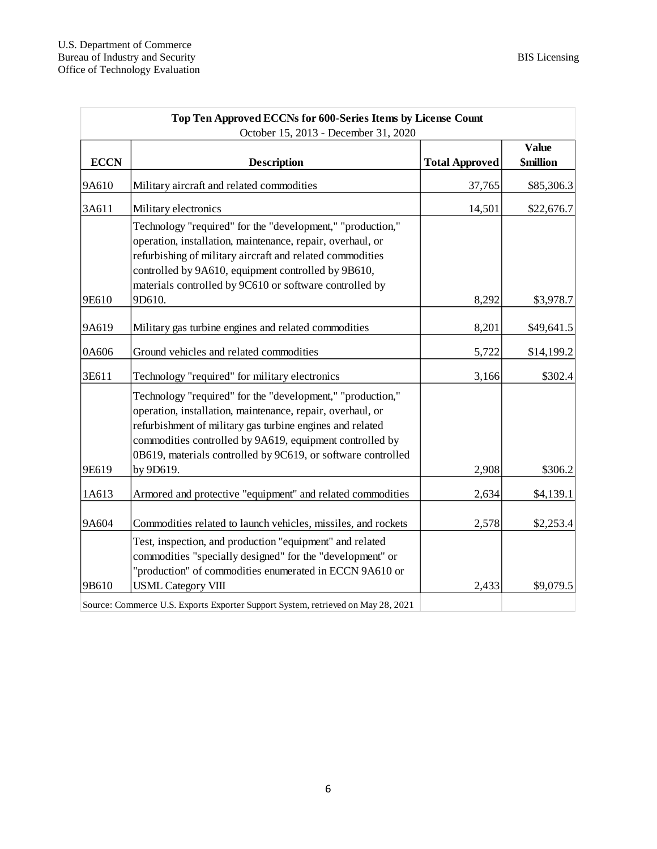| Top Ten Approved ECCNs for 600-Series Items by License Count |                                                                                                                                                                                                                                                                                                                   |                       |                                  |  |  |  |
|--------------------------------------------------------------|-------------------------------------------------------------------------------------------------------------------------------------------------------------------------------------------------------------------------------------------------------------------------------------------------------------------|-----------------------|----------------------------------|--|--|--|
| <b>ECCN</b>                                                  | October 15, 2013 - December 31, 2020<br><b>Description</b>                                                                                                                                                                                                                                                        | <b>Total Approved</b> | <b>Value</b><br><b>\$million</b> |  |  |  |
|                                                              |                                                                                                                                                                                                                                                                                                                   |                       |                                  |  |  |  |
| 9A610                                                        | Military aircraft and related commodities                                                                                                                                                                                                                                                                         | 37,765                | \$85,306.3                       |  |  |  |
| 3A611                                                        | Military electronics                                                                                                                                                                                                                                                                                              | 14,501                | \$22,676.7                       |  |  |  |
| 9E610                                                        | Technology "required" for the "development," "production,"<br>operation, installation, maintenance, repair, overhaul, or<br>refurbishing of military aircraft and related commodities<br>controlled by 9A610, equipment controlled by 9B610,<br>materials controlled by 9C610 or software controlled by<br>9D610. | 8,292                 | \$3,978.7                        |  |  |  |
|                                                              |                                                                                                                                                                                                                                                                                                                   |                       |                                  |  |  |  |
| 9A619                                                        | Military gas turbine engines and related commodities                                                                                                                                                                                                                                                              | 8,201                 | \$49,641.5                       |  |  |  |
| 0A606                                                        | Ground vehicles and related commodities                                                                                                                                                                                                                                                                           | 5,722                 | \$14,199.2                       |  |  |  |
| 3E611                                                        | Technology "required" for military electronics                                                                                                                                                                                                                                                                    | 3,166                 | \$302.4                          |  |  |  |
|                                                              | Technology "required" for the "development," "production,"<br>operation, installation, maintenance, repair, overhaul, or<br>refurbishment of military gas turbine engines and related<br>commodities controlled by 9A619, equipment controlled by<br>0B619, materials controlled by 9C619, or software controlled |                       |                                  |  |  |  |
| 9E619                                                        | by 9D619.                                                                                                                                                                                                                                                                                                         | 2,908                 | \$306.2                          |  |  |  |
| 1A613                                                        | Armored and protective "equipment" and related commodities                                                                                                                                                                                                                                                        | 2,634                 | \$4,139.1                        |  |  |  |
| 9A604                                                        | Commodities related to launch vehicles, missiles, and rockets                                                                                                                                                                                                                                                     | 2,578                 | \$2,253.4                        |  |  |  |
| 9B610                                                        | Test, inspection, and production "equipment" and related<br>commodities "specially designed" for the "development" or<br>"production" of commodities enumerated in ECCN 9A610 or<br><b>USML</b> Category VIII                                                                                                     | 2,433                 | \$9,079.5                        |  |  |  |
|                                                              | Source: Commerce U.S. Exports Exporter Support System, retrieved on May 28, 2021                                                                                                                                                                                                                                  |                       |                                  |  |  |  |